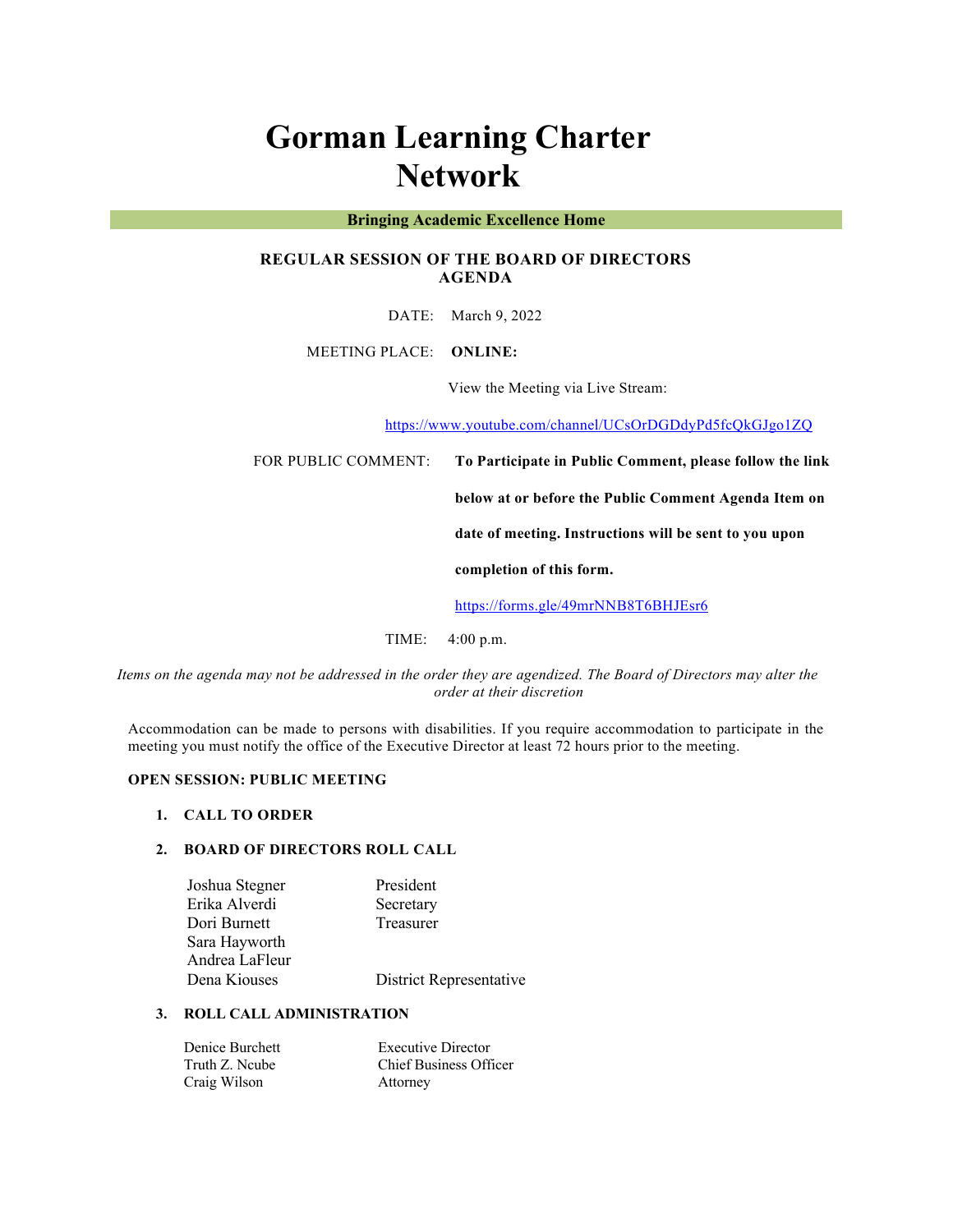# **Gorman Learning Charter Network**

#### **Bringing Academic Excellence Home**

# **REGULAR SESSION OF THE BOARD OF DIRECTORS AGENDA**

DATE: March 9, 2022

MEETING PLACE: **ONLINE:** 

View the Meeting via Live Stream:

https://www.youtube.com/channel/UCsOrDGDdyPd5fcQkGJgo1ZQ

FOR PUBLIC COMMENT: **To Participate in Public Comment, please follow the link** 

**below at or before the Public Comment Agenda Item on** 

**date of meeting. Instructions will be sent to you upon** 

**completion of this form.**

https://forms.gle/49mrNNB8T6BHJEsr6

TIME: 4:00 p.m.

*Items on the agenda may not be addressed in the order they are agendized. The Board of Directors may alter the order at their discretion*

Accommodation can be made to persons with disabilities. If you require accommodation to participate in the meeting you must notify the office of the Executive Director at least 72 hours prior to the meeting.

## **OPEN SESSION: PUBLIC MEETING**

#### **1. CALL TO ORDER**

### **2. BOARD OF DIRECTORS ROLL CALL**

| District Representative |
|-------------------------|
|                         |

# **3. ROLL CALL ADMINISTRATION**

| Denice Burchett | <b>Executive Director</b>     |
|-----------------|-------------------------------|
| Truth Z. Ncube  | <b>Chief Business Officer</b> |
| Craig Wilson    | Attorney                      |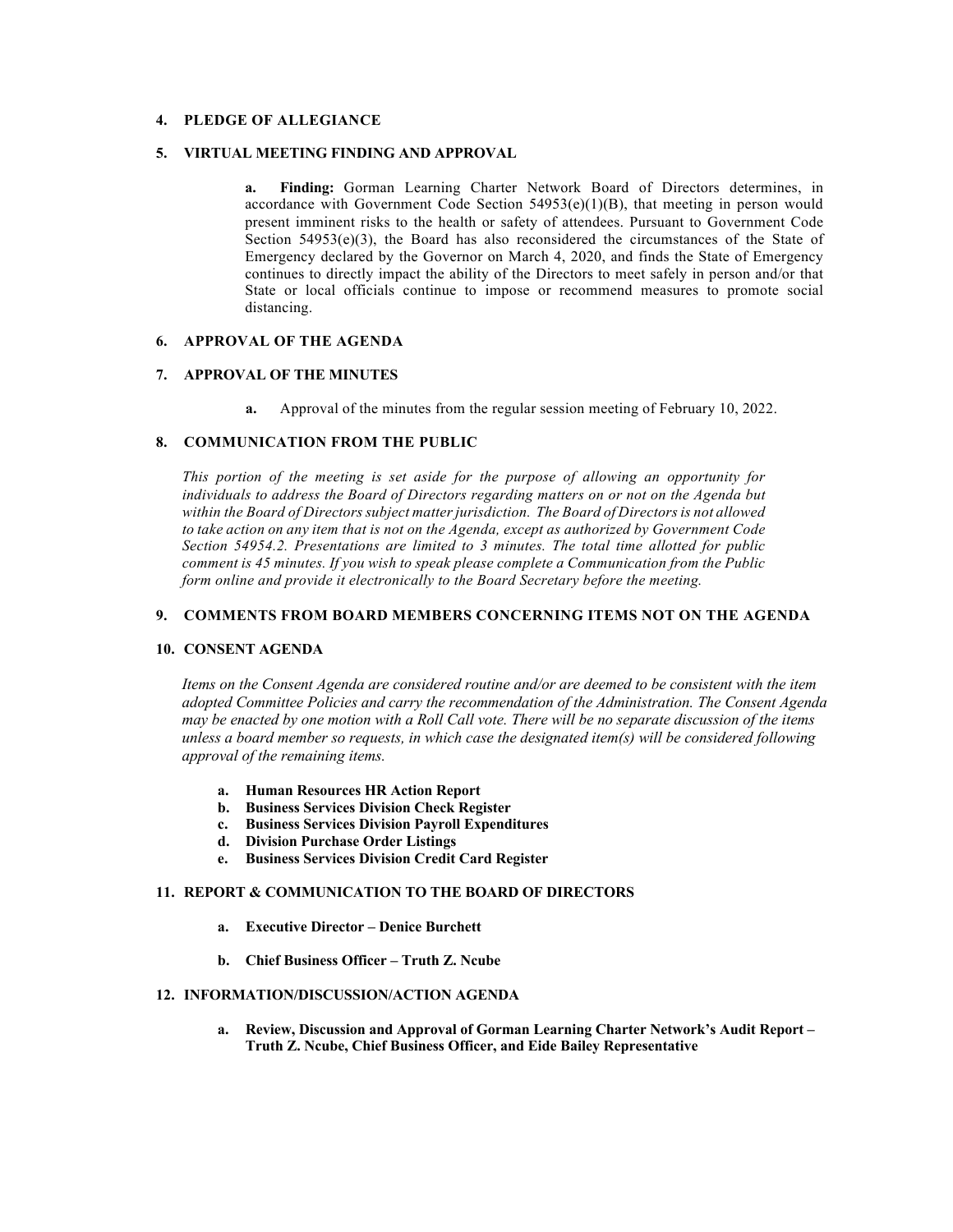# **4. PLEDGE OF ALLEGIANCE**

#### **5. VIRTUAL MEETING FINDING AND APPROVAL**

**a. Finding:** Gorman Learning Charter Network Board of Directors determines, in accordance with Government Code Section  $54953(e)(1)(B)$ , that meeting in person would present imminent risks to the health or safety of attendees. Pursuant to Government Code Section  $54953(e)(3)$ , the Board has also reconsidered the circumstances of the State of Emergency declared by the Governor on March 4, 2020, and finds the State of Emergency continues to directly impact the ability of the Directors to meet safely in person and/or that State or local officials continue to impose or recommend measures to promote social distancing.

#### **6. APPROVAL OF THE AGENDA**

## **7. APPROVAL OF THE MINUTES**

**a.** Approval of the minutes from the regular session meeting of February 10, 2022.

#### **8. COMMUNICATION FROM THE PUBLIC**

*This portion of the meeting is set aside for the purpose of allowing an opportunity for individuals to address the Board of Directors regarding matters on or not on the Agenda but within the Board of Directors subject matter jurisdiction. The Board of Directors is not allowed to take action on any item that is not on the Agenda, except as authorized by Government Code Section 54954.2. Presentations are limited to 3 minutes. The total time allotted for public comment is 45 minutes. If you wish to speak please complete a Communication from the Public form online and provide it electronically to the Board Secretary before the meeting.*

#### **9. COMMENTS FROM BOARD MEMBERS CONCERNING ITEMS NOT ON THE AGENDA**

#### **10. CONSENT AGENDA**

*Items on the Consent Agenda are considered routine and/or are deemed to be consistent with the item adopted Committee Policies and carry the recommendation of the Administration. The Consent Agenda may be enacted by one motion with a Roll Call vote. There will be no separate discussion of the items unless a board member so requests, in which case the designated item(s) will be considered following approval of the remaining items.*

- **a. Human Resources HR Action Report**
- **b. Business Services Division Check Register**
- **c. Business Services Division Payroll Expenditures**
- **d. Division Purchase Order Listings**
- **e. Business Services Division Credit Card Register**

#### **11. REPORT & COMMUNICATION TO THE BOARD OF DIRECTORS**

- **a. Executive Director – Denice Burchett**
- **b. Chief Business Officer – Truth Z. Ncube**

#### **12. INFORMATION/DISCUSSION/ACTION AGENDA**

**a. Review, Discussion and Approval of Gorman Learning Charter Network's Audit Report – Truth Z. Ncube, Chief Business Officer, and Eide Bailey Representative**